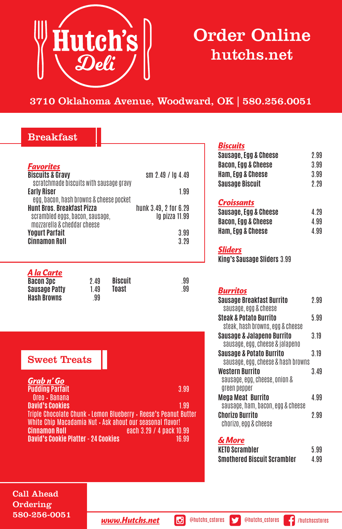

# Order Online hutchs.net

# 3710 Oklahoma Avenue, Woodward, OK | 580.256.0051

## Breakfast

| <b>Favorites</b><br><b>Biscuits &amp; Gravy</b><br>scratchmade biscuits with sausage gravy<br><b>Early Riser</b><br>egg, bacon, hash browns & cheese pocket<br><b>Hunt Bros, Breakfast Pizza</b><br>scrambled eggs, bacon, sausage,<br>mozzarella & cheddar cheese<br><b>Yogurt Parfait</b><br><b>Cinnamon Roll</b> |                  | sm $2.49 / 104.49$<br>199<br>hunk 3.49, 2 for 6.29<br>lg pizza 11.99<br>3.99<br>3 29 |           |
|---------------------------------------------------------------------------------------------------------------------------------------------------------------------------------------------------------------------------------------------------------------------------------------------------------------------|------------------|--------------------------------------------------------------------------------------|-----------|
| A la Carte<br><b>Bacon 3pc</b><br><b>Sausage Patty</b><br><b>Hash Browns</b>                                                                                                                                                                                                                                        | 949<br>149<br>99 | <b>Biscuit</b><br>Toast                                                              | .99<br>99 |

# Sweet Treats

| Grab n' Go                                                       |       |
|------------------------------------------------------------------|-------|
| <b>Pudding Parfait</b>                                           | 3.99  |
| Oreo · Banana                                                    |       |
| <b>David's Cookies</b>                                           | 199   |
| Triple Chocolate Chunk • Lemon Blueberry • Reese's Peanut Butter |       |
| White Chip Macadamia Nut . Ask ahout our seasonal flavor!        |       |
| <b>Cinnamon Roll</b><br>each 3.29 / 4 pack 10.99                 |       |
| <b>David's Cookie Platter - 24 Cookies</b>                       | 16.99 |
|                                                                  |       |

#### *Biscuits*

| Sausage, Egg & Cheese  | 2 99 |
|------------------------|------|
| Bacon. Egg & Cheese    | 3 99 |
| Ham. Egg & Cheese      | 399  |
| <b>Sausage Biscuit</b> | 2 29 |

#### *Croissants*

| Sausage, Egg & Cheese | 499 |
|-----------------------|-----|
| Bacon, Egg & Cheese   | 499 |
| Ham, Egg & Cheese     | 499 |

#### *Sliders*

**King's Sausage Sliders** 3.99

#### *Burritos*

| <b>Sausage Breakfast Burrito</b><br>sausage, egg & cheese                 | 2 99 |
|---------------------------------------------------------------------------|------|
| <b>Steak &amp; Potato Burrito</b>                                         | 599  |
| steak, hash browns, egg & cheese<br>Sausage & Jalapeno Burrito            | 3 19 |
| sausage, egg, cheese & jalapeno                                           |      |
| <b>Sausage &amp; Potato Burrito</b><br>sausage, egg, cheese & hash browns | 319  |
| Western Burrito<br>sausage, egg, cheese, onion &                          | 349  |
| areen pepper                                                              |      |
| Mega Meat Burrito<br>sausage, ham, bacon, egg & cheese                    | 499  |
| Chorizo Burrito                                                           | 2 99 |
| chorizo, egg & cheese                                                     |      |

#### *& More*

| KETO Scrambler              | 599 |
|-----------------------------|-----|
| Smothered Biscuit Scrambler | 499 |

Call Ahead Ordering 580-256-0051

**www.Hutchs.net @** @hutchs\_cstores **9** @hutchs\_cstores **f** /hutchscstores